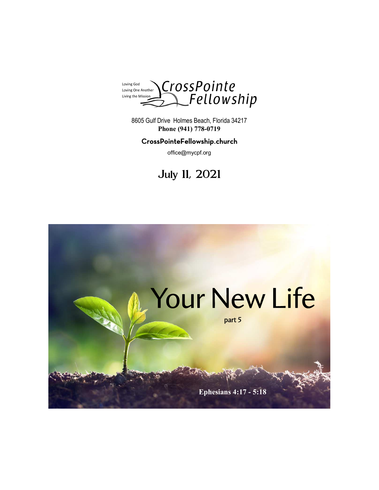

8605 Gulf Drive Holmes Beach, Florida 34217 **Phone (941) 778-0719** 

#### CrossPointeFellowship.church

office@mycpf.org

## July 11, 2021

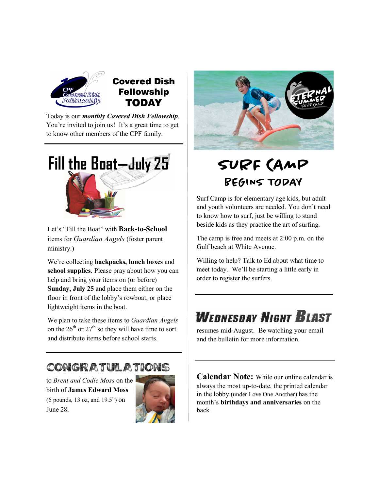

Covered Dish Fellowship TODAY

Today is our *monthly Covered Dish Fellowship*. You're invited to join us! It's a great time to get to know other members of the CPF family.



Let's "Fill the Boat" with **Back-to-School** items for *Guardian Angels* (foster parent ministry.)

We're collecting **backpacks, lunch boxes** and **school supplies**. Please pray about how you can help and bring your items on (or before) **Sunday, July 25** and place them either on the floor in front of the lobby's rowboat, or place lightweight items in the boat.

We plan to take these items to *Guardian Angels*  on the  $26<sup>th</sup>$  or  $27<sup>th</sup>$  so they will have time to sort and distribute items before school starts.

## Congratulations

to *Brent and Codie Moss* on the birth of **James Edward Moss** (6 pounds, 13 oz, and 19.5") on June 28.





# SURF CAMP BEGINS TODAY

Surf Camp is for elementary age kids, but adult and youth volunteers are needed. You don't need to know how to surf, just be willing to stand beside kids as they practice the art of surfing.

The camp is free and meets at 2:00 p.m. on the Gulf beach at White Avenue.

Willing to help? Talk to Ed about what time to meet today. We'll be starting a little early in order to register the surfers.

# WEDNESDAY NIGHT BLAST

resumes mid-August. Be watching your email and the bulletin for more information.

**Calendar Note:** While our online calendar is always the most up-to-date, the printed calendar in the lobby (under Love One Another) has the month's **birthdays and anniversaries** on the back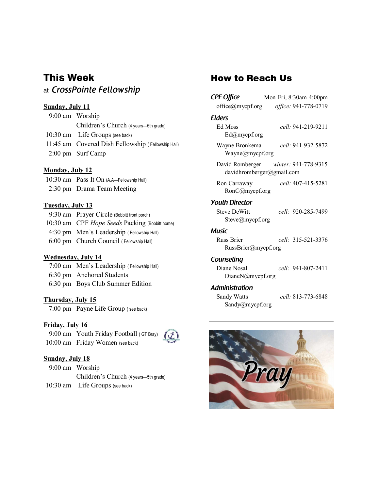## This Week at CrossPointe Fellowship

#### **Sunday, July 11**

 9:00 am Worship Children's Church (4 years—5th grade) 10:30 am Life Groups (see back) 11:45 am Covered Dish Fellowship ( Fellowship Hall) 2:00 pm Surf Camp

#### **Monday, July 12**

 10:30 am Pass It On (A.A—Fellowship Hall) 2:30 pm Drama Team Meeting

#### **Tuesday, July 13**

 9:30 am Prayer Circle (Bobbitt front porch) 10:30 am CPF *Hope Seeds* Packing (Bobbitt home) 4:30 pm Men's Leadership ( Fellowship Hall) 6:00 pm Church Council ( Fellowship Hall)

#### **Wednesday, July 14**

 7:00 am Men's Leadership ( Fellowship Hall) 6:30 pm Anchored Students 6:30 pm Boys Club Summer Edition

#### **Thursday, July 15**

7:00 pm Payne Life Group ( see back)

#### **Friday, July 16**

9:00 am Youth Friday Football ( GT Bray) 10:00 am Friday Women (see back)



#### **Sunday, July 18**

 9:00 am Worship Children's Church (4 years—5th grade) 10:30 am Life Groups (see back)

### How to Reach Us

| CPF Office                             | Mon-Fri, 8:30am-4:00pm               |
|----------------------------------------|--------------------------------------|
| office@mycpf.org                       | <i>office:</i> 941-778-0719          |
| Elders                                 |                                      |
| Ed Moss<br>Ed@mycpf.org                | cell: 941-219-9211                   |
| Wayne Bronkema<br>Wayne@mycpf.org      | cell: 941-932-5872                   |
| davidhromberger@gmail.com              | David Romberger winter: 941-778-9315 |
| Ron Carraway<br>RonC@mycpf.org         | cell: 407-415-5281                   |
| <b>Youth Director</b>                  |                                      |
| <b>Steve DeWitt</b><br>Steve@mycpf.org | cell: 920-285-7499                   |
| Music                                  |                                      |
| Russ Brier<br>RussBrier@mycpf.org      | cell: 315-521-3376                   |
| Counseling                             |                                      |
| Diane Nosal<br>DianeN@mycpf.org        | cell: 941-807-2411                   |

#### **Administration**

| <b>Sandy Watts</b> | cell: 813-773-6848 |
|--------------------|--------------------|
| Sandy@mycpf.org    |                    |